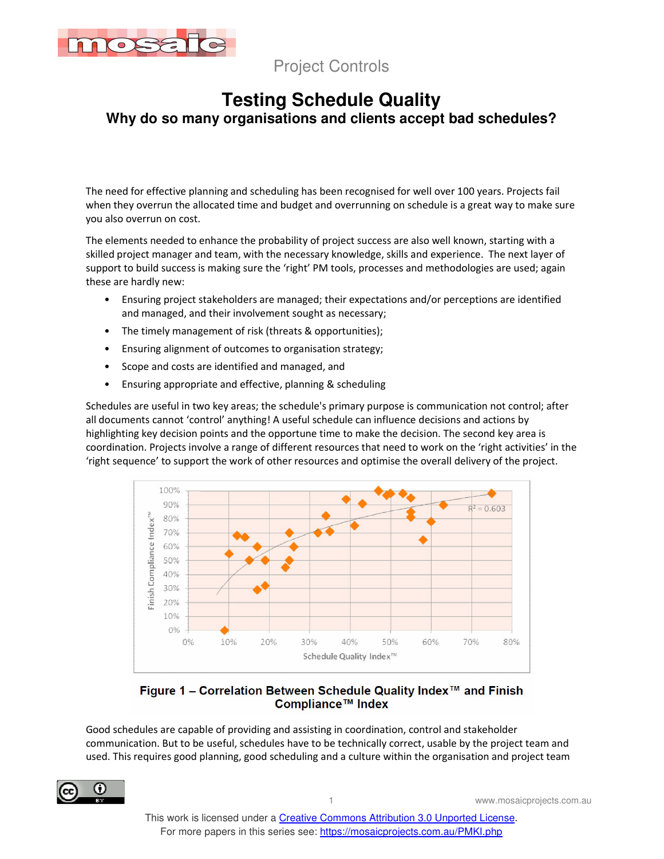

### **Testing Schedule Quality Why do so many organisations and clients accept bad schedules?**

The need for effective planning and scheduling has been recognised for well over 100 years. Projects fail when they overrun the allocated time and budget and overrunning on schedule is a great way to make sure you also overrun on cost.

The elements needed to enhance the probability of project success are also well known, starting with a skilled project manager and team, with the necessary knowledge, skills and experience. The next layer of support to build success is making sure the 'right' PM tools, processes and methodologies are used; again these are hardly new:

- Ensuring project stakeholders are managed; their expectations and/or perceptions are identified and managed, and their involvement sought as necessary;
- The timely management of risk (threats & opportunities);
- Ensuring alignment of outcomes to organisation strategy;
- Scope and costs are identified and managed, and
- Ensuring appropriate and effective, planning & scheduling

Schedules are useful in two key areas; the schedule's primary purpose is communication not control; after all documents cannot 'control' anything! A useful schedule can influence decisions and actions by highlighting key decision points and the opportune time to make the decision. The second key area is coordination. Projects involve a range of different resources that need to work on the 'right activities' in the 'right sequence' to support the work of other resources and optimise the overall delivery of the project.



### Figure 1 – Correlation Between Schedule Quality Index™ and Finish Compliance™ Index

Good schedules are capable of providing and assisting in coordination, control and stakeholder communication. But to be useful, schedules have to be technically correct, usable by the project team and used. This requires good planning, good scheduling and a culture within the organisation and project team

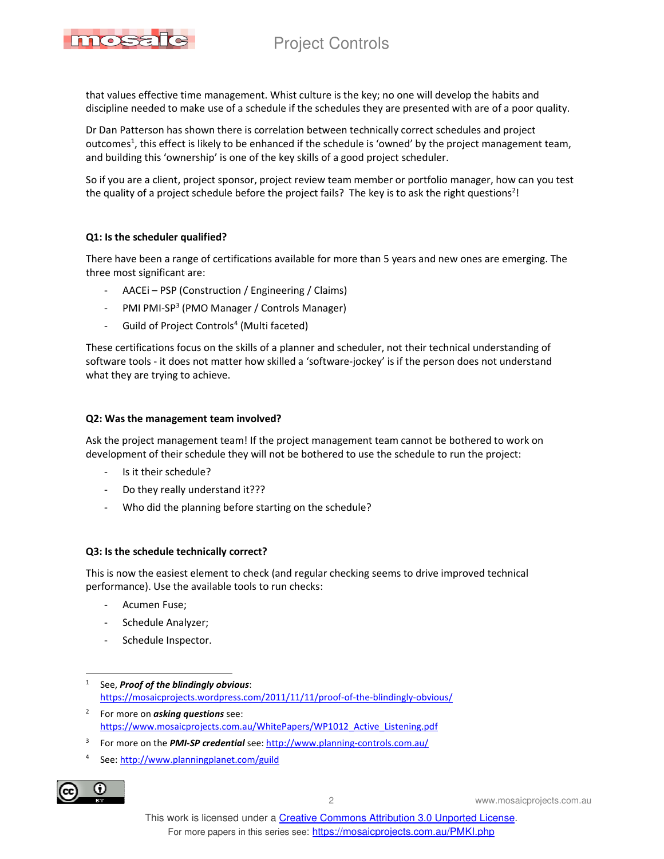

that values effective time management. Whist culture is the key; no one will develop the habits and discipline needed to make use of a schedule if the schedules they are presented with are of a poor quality.

Dr Dan Patterson has shown there is correlation between technically correct schedules and project outcomes<sup>1</sup>, this effect is likely to be enhanced if the schedule is 'owned' by the project management team, and building this 'ownership' is one of the key skills of a good project scheduler.

So if you are a client, project sponsor, project review team member or portfolio manager, how can you test the quality of a project schedule before the project fails? The key is to ask the right questions<sup>2</sup>!

### **Q1: Is the scheduler qualified?**

There have been a range of certifications available for more than 5 years and new ones are emerging. The three most significant are:

- AACEi PSP (Construction / Engineering / Claims)
- PMI PMI-SP<sup>3</sup> (PMO Manager / Controls Manager)
- Guild of Project Controls<sup>4</sup> (Multi faceted)

These certifications focus on the skills of a planner and scheduler, not their technical understanding of software tools - it does not matter how skilled a 'software-jockey' is if the person does not understand what they are trying to achieve.

#### **Q2: Was the management team involved?**

Ask the project management team! If the project management team cannot be bothered to work on development of their schedule they will not be bothered to use the schedule to run the project:

- Is it their schedule?
- Do they really understand it???
- Who did the planning before starting on the schedule?

#### **Q3: Is the schedule technically correct?**

This is now the easiest element to check (and regular checking seems to drive improved technical performance). Use the available tools to run checks:

- Acumen Fuse;
- Schedule Analyzer;
- Schedule Inspector.
- 1 See, *Proof of the blindingly obvious*: https://mosaicprojects.wordpress.com/2011/11/11/proof-of-the-blindingly-obvious/
- 2 For more on *asking questions* see: https://www.mosaicprojects.com.au/WhitePapers/WP1012\_Active\_Listening.pdf
- 3 For more on the *PMI-SP credential* see: http://www.planning-controls.com.au/
- 4 See: http://www.planningplanet.com/guild



2 www.mosaicprojects.com.au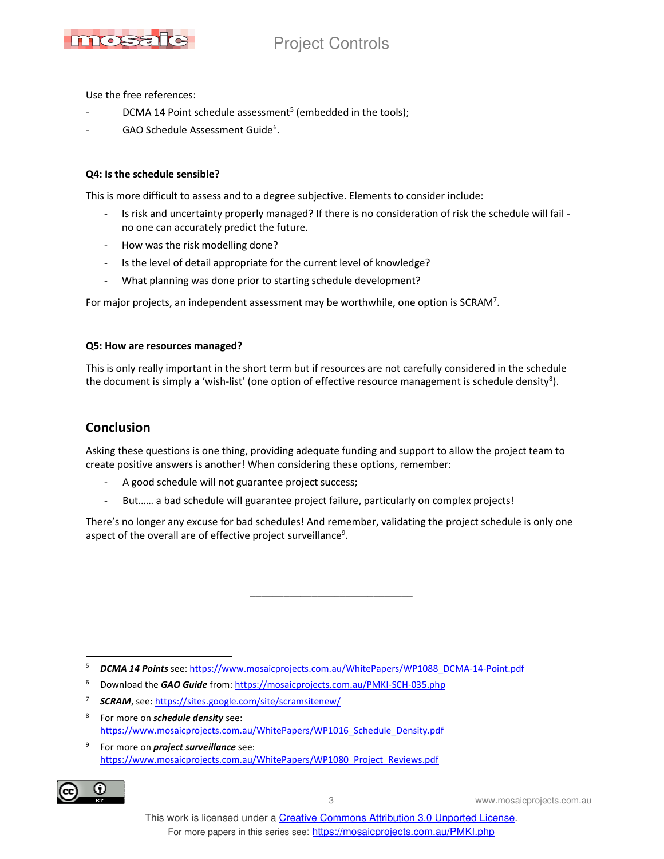

Use the free references:

- DCMA 14 Point schedule assessment<sup>5</sup> (embedded in the tools);
- GAO Schedule Assessment Guide<sup>6</sup>.

#### **Q4: Is the schedule sensible?**

This is more difficult to assess and to a degree subjective. Elements to consider include:

- Is risk and uncertainty properly managed? If there is no consideration of risk the schedule will fail no one can accurately predict the future.
- How was the risk modelling done?
- Is the level of detail appropriate for the current level of knowledge?
- What planning was done prior to starting schedule development?

For major projects, an independent assessment may be worthwhile, one option is SCRAM<sup>7</sup>.

#### **Q5: How are resources managed?**

This is only really important in the short term but if resources are not carefully considered in the schedule the document is simply a 'wish-list' (one option of effective resource management is schedule density<sup>8</sup>).

### **Conclusion**

Asking these questions is one thing, providing adequate funding and support to allow the project team to create positive answers is another! When considering these options, remember:

- A good schedule will not guarantee project success;
- But...... a bad schedule will guarantee project failure, particularly on complex projects!

There's no longer any excuse for bad schedules! And remember, validating the project schedule is only one aspect of the overall are of effective project surveillance<sup>9</sup>.

\_\_\_\_\_\_\_\_\_\_\_\_\_\_\_\_\_\_\_\_\_\_\_\_\_\_\_\_\_

6 Download the *GAO Guide* from: https://mosaicprojects.com.au/PMKI-SCH-035.php

- 8 For more on *schedule density* see: https://www.mosaicprojects.com.au/WhitePapers/WP1016\_Schedule\_Density.pdf
- 9 For more on *project surveillance* see: https://www.mosaicprojects.com.au/WhitePapers/WP1080\_Project\_Reviews.pdf



3 www.mosaicprojects.com.au

 5 *DCMA 14 Points* see: https://www.mosaicprojects.com.au/WhitePapers/WP1088\_DCMA-14-Point.pdf

<sup>7</sup> *SCRAM*, see: https://sites.google.com/site/scramsitenew/